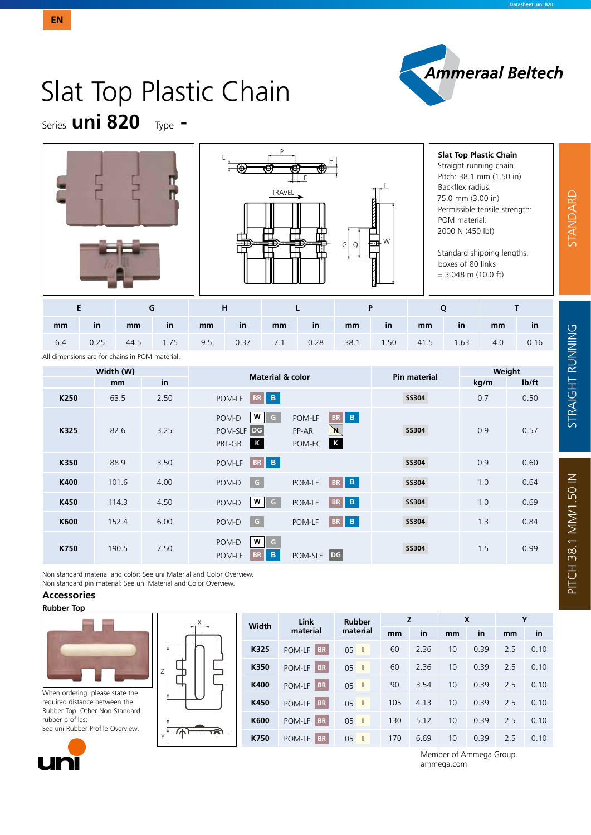

# Slat Top Plastic Chain

Series **uni 820** Type **-**





#### **Slat Top Plastic Chain** Straight running chain Pitch: 38.1 mm (1.50 in) Backflex radius: 75.0 mm (3.00 in) Permissible tensile strength: POM material: 2000 N (450 lbf)

Standard shipping lengths: boxes of 80 links  $= 3.048$  m (10.0 ft)

| mm  | -in  | mm   | in   | mm     | $\mathsf{in}$ | mm  | in          | mm | in | mm        | -in  | mm  | in   |
|-----|------|------|------|--------|---------------|-----|-------------|----|----|-----------|------|-----|------|
| 6.4 | 0.25 | 44.5 | 1.75 | $-9.5$ | 0.37          | 7.1 | $0.28$ 38.1 |    |    | 1.50 41.5 | 1.63 | 4.0 | 0.16 |

All dimensions are for chains in POM material.

|                  | Width (W) |      | <b>Material &amp; color</b>                                                                                                                    | Pin material | Weight |       |  |  |
|------------------|-----------|------|------------------------------------------------------------------------------------------------------------------------------------------------|--------------|--------|-------|--|--|
|                  | mm        | in   |                                                                                                                                                |              | kg/m   | lb/ft |  |  |
| K <sub>250</sub> | 63.5      | 2.50 | BR B<br>POM-LF                                                                                                                                 | <b>SS304</b> | 0.7    | 0.50  |  |  |
| K325             | 82.6      | 3.25 | BR B<br>W<br>POM-LF<br>POM-D<br>l G<br>`N<br>DG.<br>POM-SLF<br>PP-AR<br>$\overline{\mathsf{K}}$<br>$\overline{\mathbf{K}}$<br>PBT-GR<br>POM-EC | <b>SS304</b> | 0.9    | 0.57  |  |  |
| K350             | 88.9      | 3.50 | BR B<br>POM-LF                                                                                                                                 | <b>SS304</b> | 0.9    | 0.60  |  |  |
| K400             | 101.6     | 4.00 | BR B<br>$\mathsf{G}$<br>POM-D<br>POM-LF                                                                                                        | <b>SS304</b> | 1.0    | 0.64  |  |  |
| K450             | 114.3     | 4.50 | BR B<br>W<br>$\overline{G}$<br>POM-LF<br>POM-D                                                                                                 | <b>SS304</b> | 1.0    | 0.69  |  |  |
| K600             | 152.4     | 6.00 | BR B<br>$\boxed{G}$<br>POM-LF<br>POM-D                                                                                                         | <b>SS304</b> | 1.3    | 0.84  |  |  |
| K750             | 190.5     | 7.50 | W G<br>POM-D<br>DG<br>B<br><b>BR</b><br>POM-SLF<br>POM-LF                                                                                      | <b>SS304</b> | 1.5    | 0.99  |  |  |

Non standard material and color: See uni Material and Color Overview. Non standard pin material: See uni Material and Color Overview.

## **Accessories**





When ordering. please state the required distance between the Rubber Top. Other Non Standard  $r<sub>u</sub>$ 



Y

| Rubber Top. Other Non Standard   |  |
|----------------------------------|--|
| rubber profiles:                 |  |
| See uni Rubber Profile Overview. |  |



|    | Width | Link                | <b>Rubber</b>   |     |      | X  |      | Υ   |      |  |
|----|-------|---------------------|-----------------|-----|------|----|------|-----|------|--|
|    |       | material            | material        | mm  | in   | mm | in   | mm  | in   |  |
|    | K325  | BR<br>POM-LF        | 05<br>- 1       | 60  | 2.36 | 10 | 0.39 | 2.5 | 0.10 |  |
|    | K350  | <b>BR</b><br>POM-LF | 05<br>- 1       | 60  | 2.36 | 10 | 0.39 | 2.5 | 0.10 |  |
| கி | K400  | BR<br>POM-LF        | $05-1$          | 90  | 3.54 | 10 | 0.39 | 2.5 | 0.10 |  |
|    | K450  | <b>BR</b><br>POM-LF | $05-1$          | 105 | 4.13 | 10 | 0.39 | 2.5 | 0.10 |  |
|    | K600  | <b>BR</b><br>POM-LF | $05-1$          | 130 | 5.12 | 10 | 0.39 | 2.5 | 0.10 |  |
|    | K750  | <b>BR</b><br>POM-LF | 05 <sup>1</sup> | 170 | 6.69 | 10 | 0.39 | 2.5 | 0.10 |  |
|    |       |                     |                 |     |      |    |      |     |      |  |

Member of Ammega Group. ammega.com